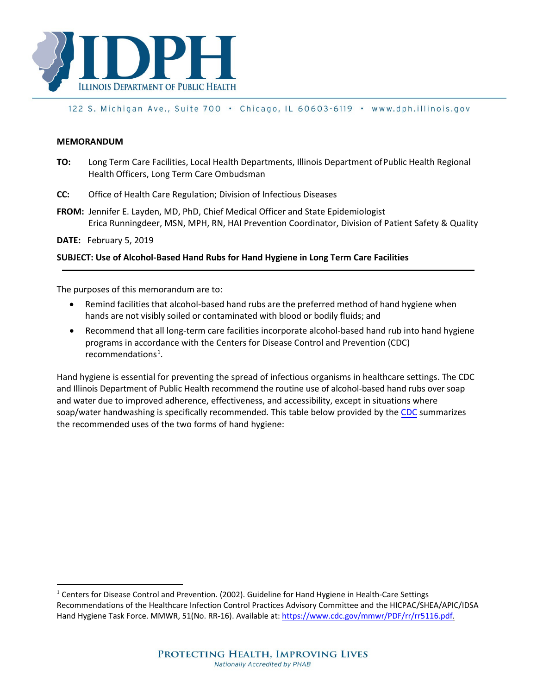

#### 122 S. Michigan Ave., Suite 700 · Chicago, IL 60603-6119 · www.dph.illinois.gov

#### **MEMORANDUM**

- **TO:** Long Term Care Facilities, Local Health Departments, Illinois Department ofPublic Health Regional Health Officers, Long Term Care Ombudsman
- **CC:** Office of Health Care Regulation; Division of Infectious Diseases
- **FROM:** Jennifer E. Layden, MD, PhD, Chief Medical Officer and State Epidemiologist Erica Runningdeer, MSN, MPH, RN, HAI Prevention Coordinator, Division of Patient Safety & Quality

**DATE:** February 5, 2019

#### **SUBJECT: Use of Alcohol-Based Hand Rubs for Hand Hygiene in Long Term Care Facilities**

The purposes of this memorandum are to:

- Remind facilities that alcohol-based hand rubs are the preferred method of hand hygiene when hands are not visibly soiled or contaminated with blood or bodily fluids; and
- Recommend that all long-term care facilities incorporate alcohol-based hand rub into hand hygiene programs in accordance with the Centers for Disease Control and Prevention (CDC) recommendations<sup>[1](#page-0-0)</sup>.

Hand hygiene is essential for preventing the spread of infectious organisms in healthcare settings. The CDC and Illinois Department of Public Health recommend the routine use of alcohol-based hand rubs over soap and water due to improved adherence, effectiveness, and accessibility, except in situations where soap/water handwashing is specifically recommended. This table below provided by the [CDC](https://www.cdc.gov/handhygiene/providers/index.html) summarizes the recommended uses of the two forms of hand hygiene:

<span id="page-0-0"></span><sup>&</sup>lt;sup>1</sup> Centers for Disease Control and Prevention. (2002). Guideline for Hand Hygiene in Health-Care Settings Recommendations of the Healthcare Infection Control Practices Advisory Committee and the HICPAC/SHEA/APIC/IDSA Hand Hygiene Task Force. MMWR, 51(No. RR-16). Available at[: https://www.cdc.gov/mmwr/PDF/rr/rr5116.pdf.](https://www.cdc.gov/mmwr/PDF/rr/rr5116.pdf)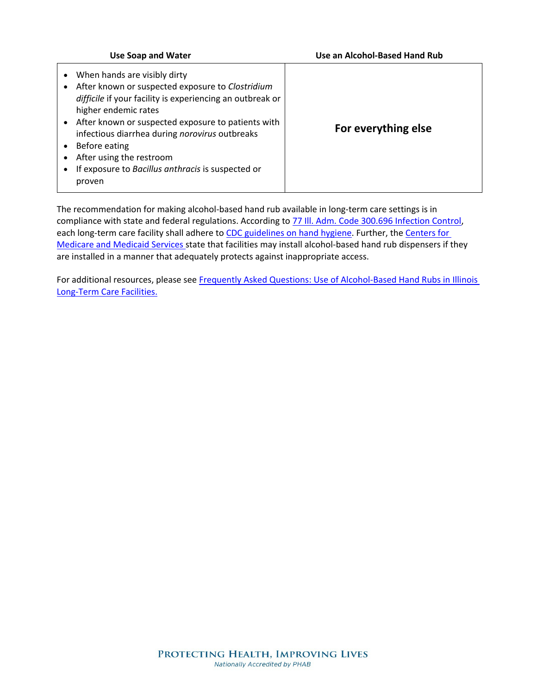| <b>Use Soap and Water</b>                                                                                                                                                                                                                                                                                                                                                                   | Use an Alcohol-Based Hand Rub |  |  |
|---------------------------------------------------------------------------------------------------------------------------------------------------------------------------------------------------------------------------------------------------------------------------------------------------------------------------------------------------------------------------------------------|-------------------------------|--|--|
| When hands are visibly dirty<br>After known or suspected exposure to Clostridium<br>difficile if your facility is experiencing an outbreak or<br>higher endemic rates<br>• After known or suspected exposure to patients with<br>infectious diarrhea during norovirus outbreaks<br>Before eating<br>After using the restroom<br>If exposure to Bacillus anthracis is suspected or<br>proven | For everything else           |  |  |

The recommendation for making alcohol-based hand rub available in long-term care settings is in compliance with state and federal regulations. According to  $77$  Ill. Adm. Code 300.696 Infection Control, each long-term care facility shall adhere to [CDC guidelines on hand hygiene.](https://www.cdc.gov/handhygiene/providers/guideline.html) Further, the Centers for [Medicare and Medicaid Services](https://www.cms.gov/Medicare/Provider-Enrollment-and-Certification/GuidanceforLawsAndRegulations/Downloads/Appendix-PP-State-Operations-Manual.pdf) state that facilities may install alcohol-based hand rub dispensers if they are installed in a manner that adequately protects against inappropriate access.

For additional resources, please see Frequently Asked Questions: Use of Alcohol-Based Hand Rubs in Illinois [Long-Term Care Facilities.](http://dph.illinois.gov/topics-services/prevention-wellness/patient-safety-quality/hai-prevention)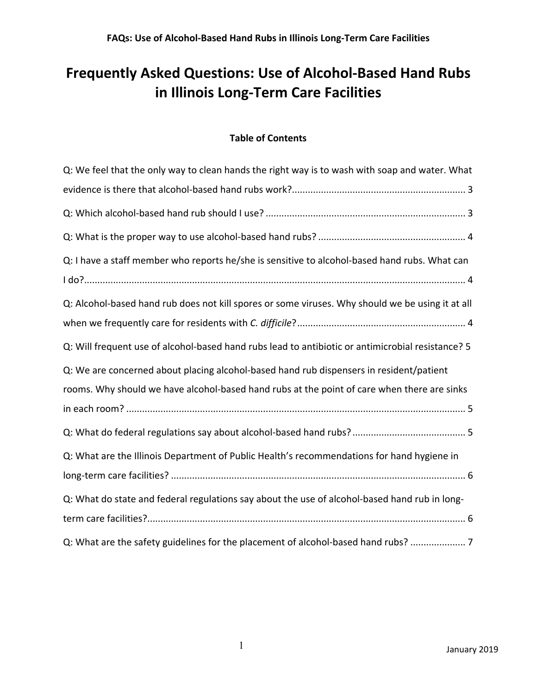# **Frequently Asked Questions: Use of Alcohol-Based Hand Rubs in Illinois Long-Term Care Facilities**

### **Table of Contents**

| Q: We feel that the only way to clean hands the right way is to wash with soap and water. What    |
|---------------------------------------------------------------------------------------------------|
|                                                                                                   |
|                                                                                                   |
|                                                                                                   |
| Q: I have a staff member who reports he/she is sensitive to alcohol-based hand rubs. What can     |
|                                                                                                   |
| Q: Alcohol-based hand rub does not kill spores or some viruses. Why should we be using it at all  |
|                                                                                                   |
| Q: Will frequent use of alcohol-based hand rubs lead to antibiotic or antimicrobial resistance? 5 |
| Q: We are concerned about placing alcohol-based hand rub dispensers in resident/patient           |
|                                                                                                   |
| rooms. Why should we have alcohol-based hand rubs at the point of care when there are sinks       |
|                                                                                                   |
|                                                                                                   |
| Q: What are the Illinois Department of Public Health's recommendations for hand hygiene in        |
|                                                                                                   |
| Q: What do state and federal regulations say about the use of alcohol-based hand rub in long-     |
|                                                                                                   |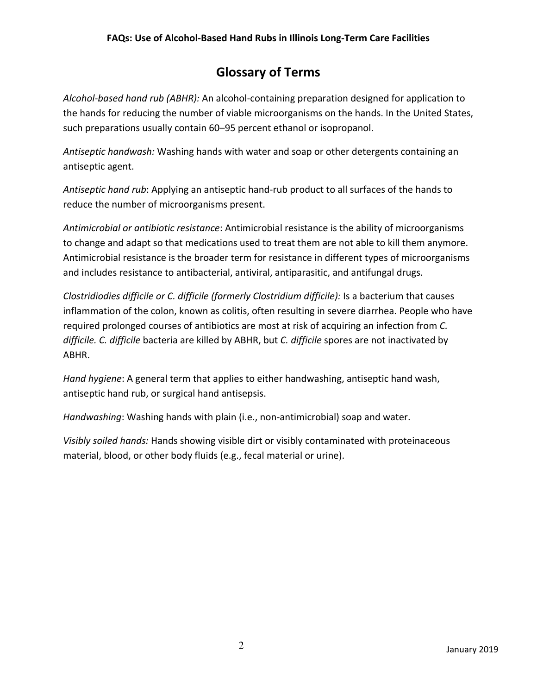### **Glossary of Terms**

*Alcohol-based hand rub (ABHR):* An alcohol-containing preparation designed for application to the hands for reducing the number of viable microorganisms on the hands. In the United States, such preparations usually contain 60–95 percent ethanol or isopropanol.

*Antiseptic handwash:* Washing hands with water and soap or other detergents containing an antiseptic agent.

*Antiseptic hand rub*: Applying an antiseptic hand-rub product to all surfaces of the hands to reduce the number of microorganisms present.

*Antimicrobial or antibiotic resistance*: Antimicrobial resistance is the ability of microorganisms to change and adapt so that medications used to treat them are not able to kill them anymore. Antimicrobial resistance is the broader term for resistance in different types of microorganisms and includes resistance to antibacterial, antiviral, antiparasitic, and antifungal drugs.

*Clostridiodies difficile or C. difficile (formerly Clostridium difficile):* Is a bacterium that causes inflammation of the colon, known as colitis, often resulting in severe diarrhea. People who have required prolonged courses of antibiotics are most at risk of acquiring an infection from *C. difficile. C. difficile* bacteria are killed by ABHR, but *C. difficile* spores are not inactivated by ABHR.

*Hand hygiene*: A general term that applies to either handwashing, antiseptic hand wash, antiseptic hand rub, or surgical hand antisepsis.

*Handwashing*: Washing hands with plain (i.e., non-antimicrobial) soap and water.

*Visibly soiled hands:* Hands showing visible dirt or visibly contaminated with proteinaceous material, blood, or other body fluids (e.g., fecal material or urine).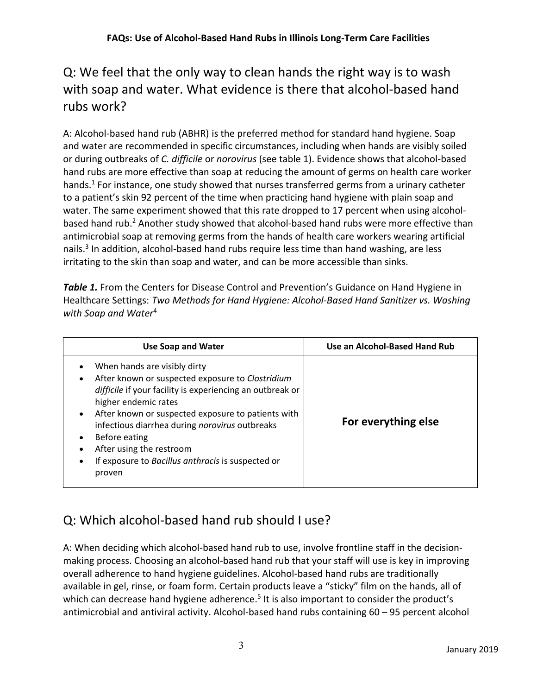# <span id="page-4-0"></span>Q: We feel that the only way to clean hands the right way is to wash with soap and water. What evidence is there that alcohol-based hand rubs work?

A: Alcohol-based hand rub (ABHR) is the preferred method for standard hand hygiene. Soap and water are recommended in specific circumstances, including when hands are visibly soiled or during outbreaks of *C. difficile* or *norovirus* (see table 1). Evidence shows that alcohol-based hand rubs are more effective than soap at reducing the amount of germs on health care worker hands.<sup>1</sup> For instance, one study showed that nurses transferred germs from a urinary catheter to a patient's skin 92 percent of the time when practicing hand hygiene with plain soap and water. The same experiment showed that this rate dropped to 17 percent when using alcoholbased hand rub. <sup>2</sup> Another study showed that alcohol-based hand rubs were more effective than antimicrobial soap at removing germs from the hands of health care workers wearing artificial nails.<sup>3</sup> In addition, alcohol-based hand rubs require less time than hand washing, are less irritating to the skin than soap and water, and can be more accessible than sinks.

<span id="page-4-2"></span>**Table 1.** From the Centers for Disease Control and Prevention's Guidance on Hand Hygiene in Healthcare Settings: *Two Methods for Hand Hygiene: Alcohol-Based Hand Sanitizer vs. Washing with Soap and Water*<sup>4</sup>

| <b>Use Soap and Water</b>                                                                                                                                                                                                                                                                                                                                                                      | Use an Alcohol-Based Hand Rub |  |  |  |
|------------------------------------------------------------------------------------------------------------------------------------------------------------------------------------------------------------------------------------------------------------------------------------------------------------------------------------------------------------------------------------------------|-------------------------------|--|--|--|
| When hands are visibly dirty<br>After known or suspected exposure to Clostridium<br>difficile if your facility is experiencing an outbreak or<br>higher endemic rates<br>After known or suspected exposure to patients with<br>infectious diarrhea during norovirus outbreaks<br>Before eating<br>After using the restroom<br>If exposure to Bacillus anthracis is suspected or<br>٠<br>proven | For everything else           |  |  |  |

## <span id="page-4-1"></span>Q: Which alcohol-based hand rub should I use?

A: When deciding which alcohol-based hand rub to use, involve frontline staff in the decisionmaking process. Choosing an alcohol-based hand rub that your staff will use is key in improving overall adherence to hand hygiene guidelines. Alcohol-based hand rubs are traditionally available in gel, rinse, or foam form. Certain products leave a "sticky" film on the hands, all of which can decrease hand hygiene adherence.<sup>5</sup> It is also important to consider the product's antimicrobial and antiviral activity. Alcohol-based hand rubs containing 60 – 95 percent alcohol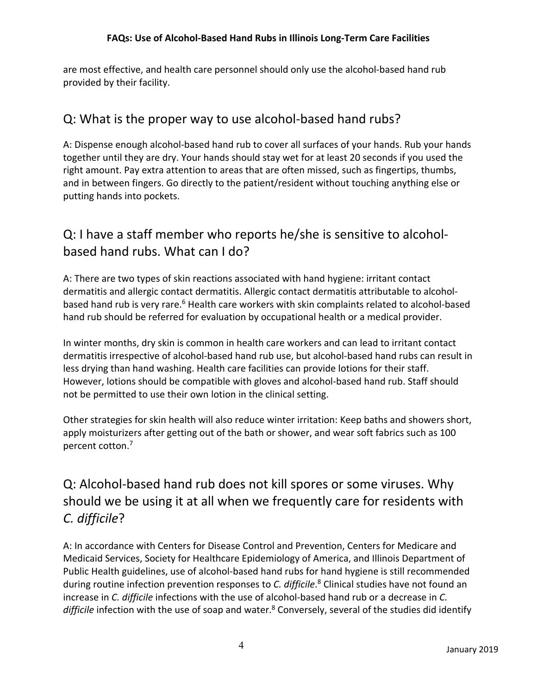are most effective, and health care personnel should only use the alcohol-based hand rub provided by their facility.

### <span id="page-5-0"></span>Q: What is the proper way to use alcohol-based hand rubs?

A: Dispense enough alcohol-based hand rub to cover all surfaces of your hands. Rub your hands together until they are dry. Your hands should stay wet for at least 20 seconds if you used the right amount. Pay extra attention to areas that are often missed, such as fingertips, thumbs, and in between fingers. Go directly to the patient/resident without touching anything else or putting hands into pockets.

## <span id="page-5-1"></span>Q: I have a staff member who reports he/she is sensitive to alcoholbased hand rubs. What can I do?

A: There are two types of skin reactions associated with hand hygiene: irritant contact dermatitis and allergic contact dermatitis. Allergic contact dermatitis attributable to alcoholbased hand rub is very rare.<sup>6</sup> Health care workers with skin complaints related to alcohol-based hand rub should be referred for evaluation by occupational health or a medical provider.

In winter months, dry skin is common in health care workers and can lead to irritant contact dermatitis irrespective of alcohol-based hand rub use, but alcohol-based hand rubs can result in less drying than hand washing. Health care facilities can provide lotions for their staff. However, lotions should be compatible with gloves and alcohol-based hand rub. Staff should not be permitted to use their own lotion in the clinical setting.

Other strategies for skin health will also reduce winter irritation: Keep baths and showers short, apply moisturizers after getting out of the bath or shower, and wear soft fabrics such as 100 percent cotton.7

## <span id="page-5-2"></span>Q: Alcohol-based hand rub does not kill spores or some viruses. Why should we be using it at all when we frequently care for residents with *C. difficile*?

A: In accordance with Centers for Disease Control and Prevention, Centers for Medicare and Medicaid Services, Society for Healthcare Epidemiology of America, and Illinois Department of Public Health guidelines, use of alcohol-based hand rubs for hand hygiene is still recommended during routine infection prevention responses to *C. difficile*. <sup>8</sup> Clinical studies have not found an increase in *C. difficile* infections with the use of alcohol-based hand rub or a decrease in *C.*  difficile infection with the use of soap and water.<sup>8</sup> Conversely, several of the studies did identify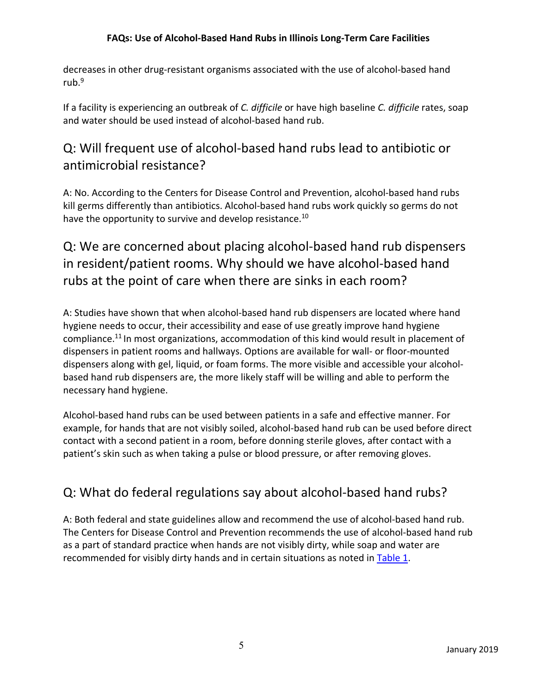decreases in other drug-resistant organisms associated with the use of alcohol-based hand rub. 9

If a facility is experiencing an outbreak of *C. difficile* or have high baseline *C. difficile* rates, soap and water should be used instead of alcohol-based hand rub.

## <span id="page-6-0"></span>Q: Will frequent use of alcohol-based hand rubs lead to antibiotic or antimicrobial resistance?

A: No. According to the Centers for Disease Control and Prevention, alcohol-based hand rubs kill germs differently than antibiotics. Alcohol-based hand rubs work quickly so germs do not have the opportunity to survive and develop resistance.<sup>10</sup>

<span id="page-6-1"></span>Q: We are concerned about placing alcohol-based hand rub dispensers in resident/patient rooms. Why should we have alcohol-based hand rubs at the point of care when there are sinks in each room?

A: Studies have shown that when alcohol-based hand rub dispensers are located where hand hygiene needs to occur, their accessibility and ease of use greatly improve hand hygiene compliance.<sup>11</sup> In most organizations, accommodation of this kind would result in placement of dispensers in patient rooms and hallways. Options are available for wall- or floor-mounted dispensers along with gel, liquid, or foam forms. The more visible and accessible your alcoholbased hand rub dispensers are, the more likely staff will be willing and able to perform the necessary hand hygiene.

Alcohol-based hand rubs can be used between patients in a safe and effective manner. For example, for hands that are not visibly soiled, alcohol-based hand rub can be used before direct contact with a second patient in a room, before donning sterile gloves, after contact with a patient's skin such as when taking a pulse or blood pressure, or after removing gloves.

### <span id="page-6-2"></span>Q: What do federal regulations say about alcohol-based hand rubs?

A: Both federal and state guidelines allow and recommend the use of alcohol-based hand rub. The Centers for Disease Control and Prevention recommends the use of alcohol-based hand rub as a part of standard practice when hands are not visibly dirty, while soap and water are recommended for visibly dirty hands and in certain situations as noted in [Table 1.](#page-4-2)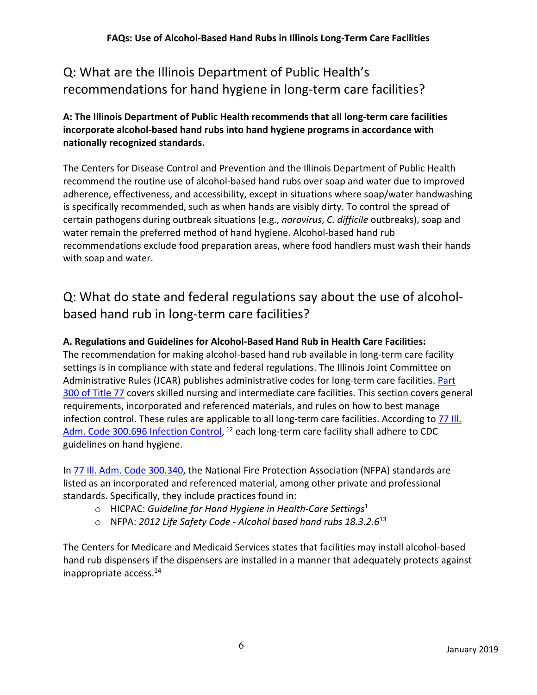# <span id="page-7-0"></span>Q: What are the Illinois Department of Public Health's recommendations for hand hygiene in long-term care facilities?

**A: The Illinois Department of Public Health recommends that all long-term care facilities incorporate alcohol-based hand rubs into hand hygiene programs in accordance with nationally recognized standards.** 

The Centers for Disease Control and Prevention and the Illinois Department of Public Health recommend the routine use of alcohol-based hand rubs over soap and water due to improved adherence, effectiveness, and accessibility, except in situations where soap/water handwashing is specifically recommended, such as when hands are visibly dirty. To control the spread of certain pathogens during outbreak situations (e.g., *norovirus*, *C. difficile* outbreaks), soap and water remain the preferred method of hand hygiene. Alcohol-based hand rub recommendations exclude food preparation areas, where food handlers must wash their hands with soap and water.

# <span id="page-7-1"></span>Q: What do state and federal regulations say about the use of alcoholbased hand rub in long-term care facilities?

### **A. Regulations and Guidelines for Alcohol-Based Hand Rub in Health Care Facilities:**

The recommendation for making alcohol-based hand rub available in long-term care facility settings is in compliance with state and federal regulations. The Illinois Joint Committee on Administrative Rules (JCAR) publishes administrative codes for long-term care facilities. Part [300 of Title 77](ftp://www.ilga.gov/jcar/admincode/077/07700300sections.html) covers skilled nursing and intermediate care facilities. This section covers general requirements, incorporated and referenced materials, and rules on how to best manage infection control. These rules are applicable to all long-term care facilities. According to 77 Ill. Adm. Code 300.696 [Infection Control,](ftp://www.ilga.gov/JCAR/AdminCode/077/077003000C06960R.html) <sup>12</sup> each long-term care facility shall adhere to CDC guidelines on hand hygiene.

In [77 Ill. Adm. Code](ftp://www.ilga.gov/JCAR/AdminCode/077/077003000A03400R.html) 300.340, the National Fire Protection Association (NFPA) standards are listed as an incorporated and referenced material, among other private and professional standards. Specifically, they include practices found in:

- o HICPAC: *Guideline for Hand Hygiene in Health-Care Settings*<sup>1</sup>
- o NFPA: *2012 Life Safety Code - Alcohol based hand rubs 18.3.2.6*<sup>13</sup>

The Centers for Medicare and Medicaid Services states that facilities may install alcohol-based hand rub dispensers if the dispensers are installed in a manner that adequately protects against inappropriate access. 14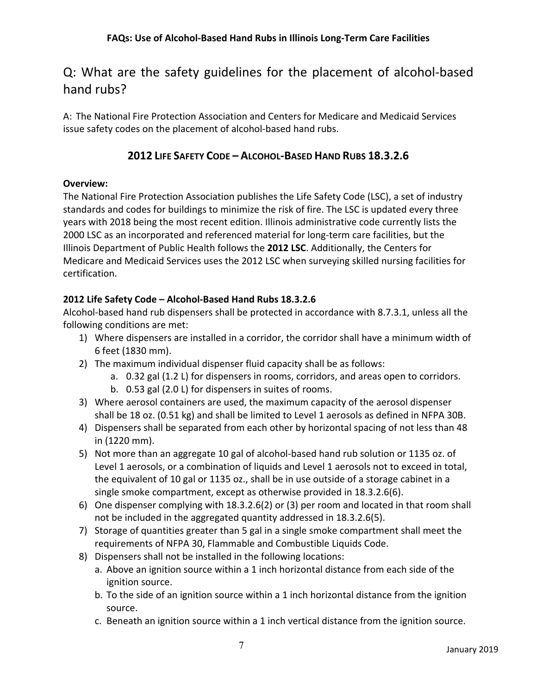### <span id="page-8-0"></span>Q: What are the safety guidelines for the placement of alcohol-based hand rubs?

A: The National Fire Protection Association and Centers for Medicare and Medicaid Services issue safety codes on the placement of alcohol-based hand rubs.

### **2012 LIFE SAFETY CODE – ALCOHOL-BASED HAND RUBS 18.3.2.6**

#### **Overview:**

The National Fire Protection Association publishes the Life Safety Code (LSC), a set of industry standards and codes for buildings to minimize the risk of fire. The LSC is updated every three years with 2018 being the most recent edition. Illinois administrative code currently lists the 2000 LSC as an incorporated and referenced material for long-term care facilities, but the Illinois Department of Public Health follows the **2012 LSC**. Additionally, the Centers for Medicare and Medicaid Services uses the 2012 LSC when surveying skilled nursing facilities for certification.

### **2012 Life Safety Code – Alcohol-Based Hand Rubs 18.3.2.6**

Alcohol-based hand rub dispensers shall be protected in accordance with 8.7.3.1, unless all the following conditions are met:

- 1) Where dispensers are installed in a corridor, the corridor shall have a minimum width of 6 feet (1830 mm).
- 2) The maximum individual dispenser fluid capacity shall be as follows:
	- a. 0.32 gal (1.2 L) for dispensers in rooms, corridors, and areas open to corridors.
	- b. 0.53 gal (2.0 L) for dispensers in suites of rooms.
- 3) Where aerosol containers are used, the maximum capacity of the aerosol dispenser shall be 18 oz. (0.51 kg) and shall be limited to Level 1 aerosols as defined in NFPA 30B.
- 4) Dispensers shall be separated from each other by horizontal spacing of not less than 48 in (1220 mm).
- 5) Not more than an aggregate 10 gal of alcohol-based hand rub solution or 1135 oz. of Level 1 aerosols, or a combination of liquids and Level 1 aerosols not to exceed in total, the equivalent of 10 gal or 1135 oz., shall be in use outside of a storage cabinet in a single smoke compartment, except as otherwise provided in 18.3.2.6(6).
- 6) One dispenser complying with 18.3.2.6(2) or (3) per room and located in that room shall not be included in the aggregated quantity addressed in 18.3.2.6(5).
- 7) Storage of quantities greater than 5 gal in a single smoke compartment shall meet the requirements of NFPA 30, Flammable and Combustible Liquids Code.
- 8) Dispensers shall not be installed in the following locations:
	- a. Above an ignition source within a 1 inch horizontal distance from each side of the ignition source.
	- b. To the side of an ignition source within a 1 inch horizontal distance from the ignition source.
	- c. Beneath an ignition source within a 1 inch vertical distance from the ignition source.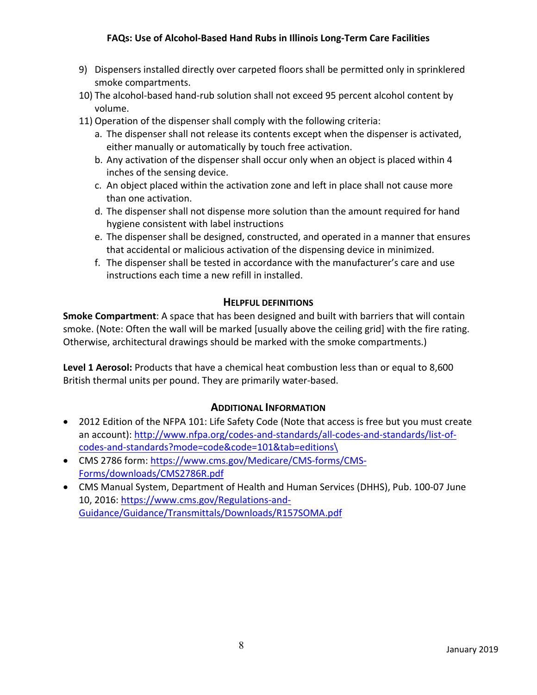### **FAQs: Use of Alcohol-Based Hand Rubs in Illinois Long-Term Care Facilities**

- 9) Dispensers installed directly over carpeted floors shall be permitted only in sprinklered smoke compartments.
- 10) The alcohol-based hand-rub solution shall not exceed 95 percent alcohol content by volume.
- 11) Operation of the dispenser shall comply with the following criteria:
	- a. The dispenser shall not release its contents except when the dispenser is activated, either manually or automatically by touch free activation.
	- b. Any activation of the dispenser shall occur only when an object is placed within 4 inches of the sensing device.
	- c. An object placed within the activation zone and left in place shall not cause more than one activation.
	- d. The dispenser shall not dispense more solution than the amount required for hand hygiene consistent with label instructions
	- e. The dispenser shall be designed, constructed, and operated in a manner that ensures that accidental or malicious activation of the dispensing device in minimized.
	- f. The dispenser shall be tested in accordance with the manufacturer's care and use instructions each time a new refill in installed.

#### **HELPFUL DEFINITIONS**

**Smoke Compartment**: A space that has been designed and built with barriers that will contain smoke. (Note: Often the wall will be marked [usually above the ceiling grid] with the fire rating. Otherwise, architectural drawings should be marked with the smoke compartments.)

**Level 1 Aerosol:** Products that have a chemical heat combustion less than or equal to 8,600 British thermal units per pound. They are primarily water-based.

### **ADDITIONAL INFORMATION**

- 2012 Edition of the NFPA 101: Life Safety Code (Note that access is free but you must create an account): [http://www.nfpa.org/codes-and-standards/all-codes-and-standards/list-of](http://www.nfpa.org/codes-and-standards/all-codes-and-standards/list-of-codes-and-standards?mode=code&code=101&tab=editions%5C)[codes-and-standards?mode=code&code=101&tab=editions\](http://www.nfpa.org/codes-and-standards/all-codes-and-standards/list-of-codes-and-standards?mode=code&code=101&tab=editions%5C)
- CMS 2786 form: [https://www.cms.gov/Medicare/CMS-forms/CMS-](https://www.cms.gov/Medicare/CMS-forms/CMS-Forms/downloads/CMS2786R.pdf)[Forms/downloads/CMS2786R.pdf](https://www.cms.gov/Medicare/CMS-forms/CMS-Forms/downloads/CMS2786R.pdf)
- CMS Manual System, Department of Health and Human Services (DHHS), Pub. 100-07 June 10, 2016: [https://www.cms.gov/Regulations-and-](https://www.cms.gov/Regulations-and-Guidance/Guidance/Transmittals/Downloads/R157SOMA.pdf)[Guidance/Guidance/Transmittals/Downloads/R157SOMA.pdf](https://www.cms.gov/Regulations-and-Guidance/Guidance/Transmittals/Downloads/R157SOMA.pdf)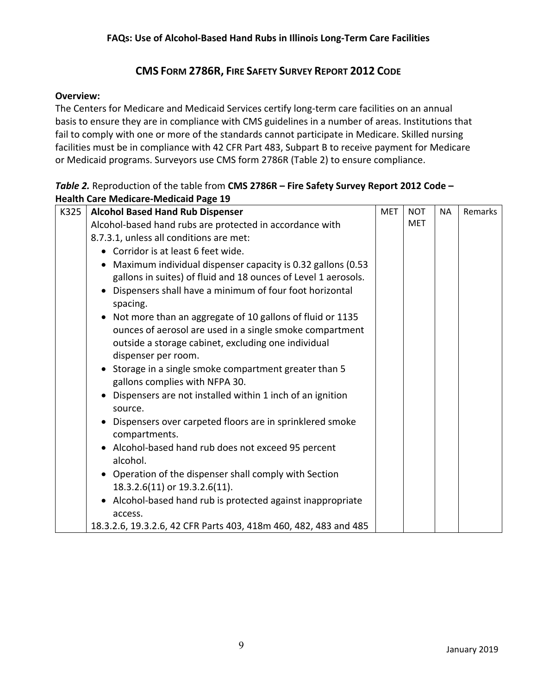### **CMS FORM 2786R, FIRE SAFETY SURVEY REPORT 2012 CODE**

#### **Overview:**

The Centers for Medicare and Medicaid Services certify long-term care facilities on an annual basis to ensure they are in compliance with CMS guidelines in a number of areas. Institutions that fail to comply with one or more of the standards cannot participate in Medicare. Skilled nursing facilities must be in compliance with 42 CFR Part 483, Subpart B to receive payment for Medicare or Medicaid programs. Surveyors use CMS form 2786R (Table 2) to ensure compliance.

| Table 2. Reproduction of the table from CMS 2786R - Fire Safety Survey Report 2012 Code - |  |
|-------------------------------------------------------------------------------------------|--|
| <b>Health Care Medicare-Medicaid Page 19</b>                                              |  |

| K325 | <b>Alcohol Based Hand Rub Dispenser</b>                                   | <b>MET</b> | <b>NOT</b> | NA. | Remarks |
|------|---------------------------------------------------------------------------|------------|------------|-----|---------|
|      | Alcohol-based hand rubs are protected in accordance with                  |            | <b>MET</b> |     |         |
|      | 8.7.3.1, unless all conditions are met:                                   |            |            |     |         |
|      | • Corridor is at least 6 feet wide.                                       |            |            |     |         |
|      | Maximum individual dispenser capacity is 0.32 gallons (0.53               |            |            |     |         |
|      | gallons in suites) of fluid and 18 ounces of Level 1 aerosols.            |            |            |     |         |
|      | Dispensers shall have a minimum of four foot horizontal<br>spacing.       |            |            |     |         |
|      | Not more than an aggregate of 10 gallons of fluid or 1135                 |            |            |     |         |
|      | ounces of aerosol are used in a single smoke compartment                  |            |            |     |         |
|      | outside a storage cabinet, excluding one individual                       |            |            |     |         |
|      | dispenser per room.                                                       |            |            |     |         |
|      | Storage in a single smoke compartment greater than 5                      |            |            |     |         |
|      | gallons complies with NFPA 30.                                            |            |            |     |         |
|      | Dispensers are not installed within 1 inch of an ignition<br>source.      |            |            |     |         |
|      | Dispensers over carpeted floors are in sprinklered smoke<br>compartments. |            |            |     |         |
|      | • Alcohol-based hand rub does not exceed 95 percent<br>alcohol.           |            |            |     |         |
|      | • Operation of the dispenser shall comply with Section                    |            |            |     |         |
|      | 18.3.2.6(11) or 19.3.2.6(11).                                             |            |            |     |         |
|      | • Alcohol-based hand rub is protected against inappropriate               |            |            |     |         |
|      | access.                                                                   |            |            |     |         |
|      | 18.3.2.6, 19.3.2.6, 42 CFR Parts 403, 418m 460, 482, 483 and 485          |            |            |     |         |